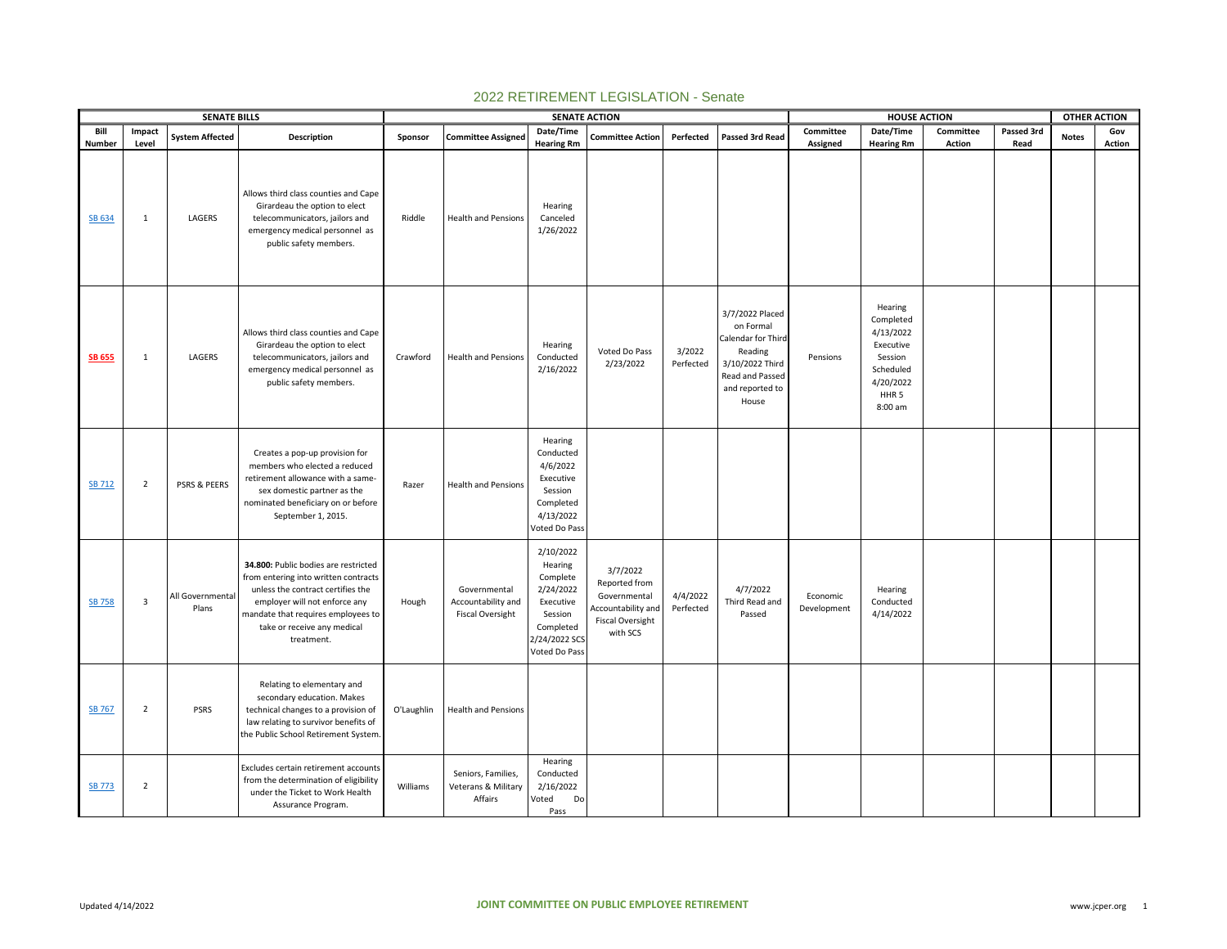|                  |                | <b>SENATE BILLS</b>       |                                                                                                                                                                                                                                       |            |                                                               | <b>SENATE ACTION</b>                                                                                                 |                                                                                                               |                       |                                                                                                                                 |                         | <b>HOUSE ACTION</b>                                                                                                |               |            | <b>OTHER ACTION</b> |        |
|------------------|----------------|---------------------------|---------------------------------------------------------------------------------------------------------------------------------------------------------------------------------------------------------------------------------------|------------|---------------------------------------------------------------|----------------------------------------------------------------------------------------------------------------------|---------------------------------------------------------------------------------------------------------------|-----------------------|---------------------------------------------------------------------------------------------------------------------------------|-------------------------|--------------------------------------------------------------------------------------------------------------------|---------------|------------|---------------------|--------|
| Bill             | Impact         | <b>System Affected</b>    | Description                                                                                                                                                                                                                           | Sponsor    | <b>Committee Assigned</b>                                     | Date/Time                                                                                                            | <b>Committee Action</b>                                                                                       | Perfected             | Passed 3rd Read                                                                                                                 | Committee               | Date/Time                                                                                                          | Committee     | Passed 3rd | <b>Notes</b>        | Gov    |
| Number<br>SB 634 | Level<br>1     | LAGERS                    | Allows third class counties and Cape<br>Girardeau the option to elect<br>telecommunicators, jailors and<br>emergency medical personnel as<br>public safety members.                                                                   | Riddle     | <b>Health and Pensions</b>                                    | <b>Hearing Rm</b><br>Hearing<br>Canceled<br>1/26/2022                                                                |                                                                                                               |                       |                                                                                                                                 | Assigned                | <b>Hearing Rm</b>                                                                                                  | <b>Action</b> | Read       |                     | Action |
| <b>SB 655</b>    | 1              | LAGERS                    | Allows third class counties and Cape<br>Girardeau the option to elect<br>telecommunicators, jailors and<br>emergency medical personnel as<br>public safety members.                                                                   | Crawford   | <b>Health and Pensions</b>                                    | Hearing<br>Conducted<br>2/16/2022                                                                                    | Voted Do Pass<br>2/23/2022                                                                                    | 3/2022<br>Perfected   | 3/7/2022 Placed<br>on Formal<br>Calendar for Third<br>Reading<br>3/10/2022 Third<br>Read and Passed<br>and reported to<br>House | Pensions                | Hearing<br>Completed<br>4/13/2022<br>Executive<br>Session<br>Scheduled<br>4/20/2022<br>HHR <sub>5</sub><br>8:00 am |               |            |                     |        |
| <b>SB 712</b>    | $\overline{2}$ | PSRS & PEERS              | Creates a pop-up provision for<br>members who elected a reduced<br>retirement allowance with a same-<br>sex domestic partner as the<br>nominated beneficiary on or before<br>September 1, 2015.                                       | Razer      | <b>Health and Pensions</b>                                    | Hearing<br>Conducted<br>4/6/2022<br>Executive<br>Session<br>Completed<br>4/13/2022<br>Voted Do Pass                  |                                                                                                               |                       |                                                                                                                                 |                         |                                                                                                                    |               |            |                     |        |
| <b>SB 758</b>    | 3              | All Governmental<br>Plans | 34.800: Public bodies are restricted<br>from entering into written contracts<br>unless the contract certifies the<br>employer will not enforce any<br>mandate that requires employees to<br>take or receive any medical<br>treatment. | Hough      | Governmental<br>Accountability and<br><b>Fiscal Oversight</b> | 2/10/2022<br>Hearing<br>Complete<br>2/24/2022<br>Executive<br>Session<br>Completed<br>2/24/2022 SCS<br>Voted Do Pass | 3/7/2022<br>Reported from<br>Governmental<br><b>Accountability and</b><br><b>Fiscal Oversight</b><br>with SCS | 4/4/2022<br>Perfected | 4/7/2022<br>Third Read and<br>Passed                                                                                            | Economic<br>Development | Hearing<br>Conducted<br>4/14/2022                                                                                  |               |            |                     |        |
| <b>SB 767</b>    | $\overline{2}$ | <b>PSRS</b>               | Relating to elementary and<br>secondary education. Makes<br>technical changes to a provision of<br>law relating to survivor benefits of<br>the Public School Retirement System.                                                       | O'Laughlin | <b>Health and Pensions</b>                                    |                                                                                                                      |                                                                                                               |                       |                                                                                                                                 |                         |                                                                                                                    |               |            |                     |        |
| <b>SB 773</b>    | $\overline{2}$ |                           | Excludes certain retirement accounts<br>from the determination of eligibility<br>under the Ticket to Work Health<br>Assurance Program.                                                                                                | Williams   | Seniors, Families,<br>Veterans & Military<br>Affairs          | Hearing<br>Conducted<br>2/16/2022<br>Voted<br>Do<br>Pass                                                             |                                                                                                               |                       |                                                                                                                                 |                         |                                                                                                                    |               |            |                     |        |

## 2022 RETIREMENT LEGISLATION - Senate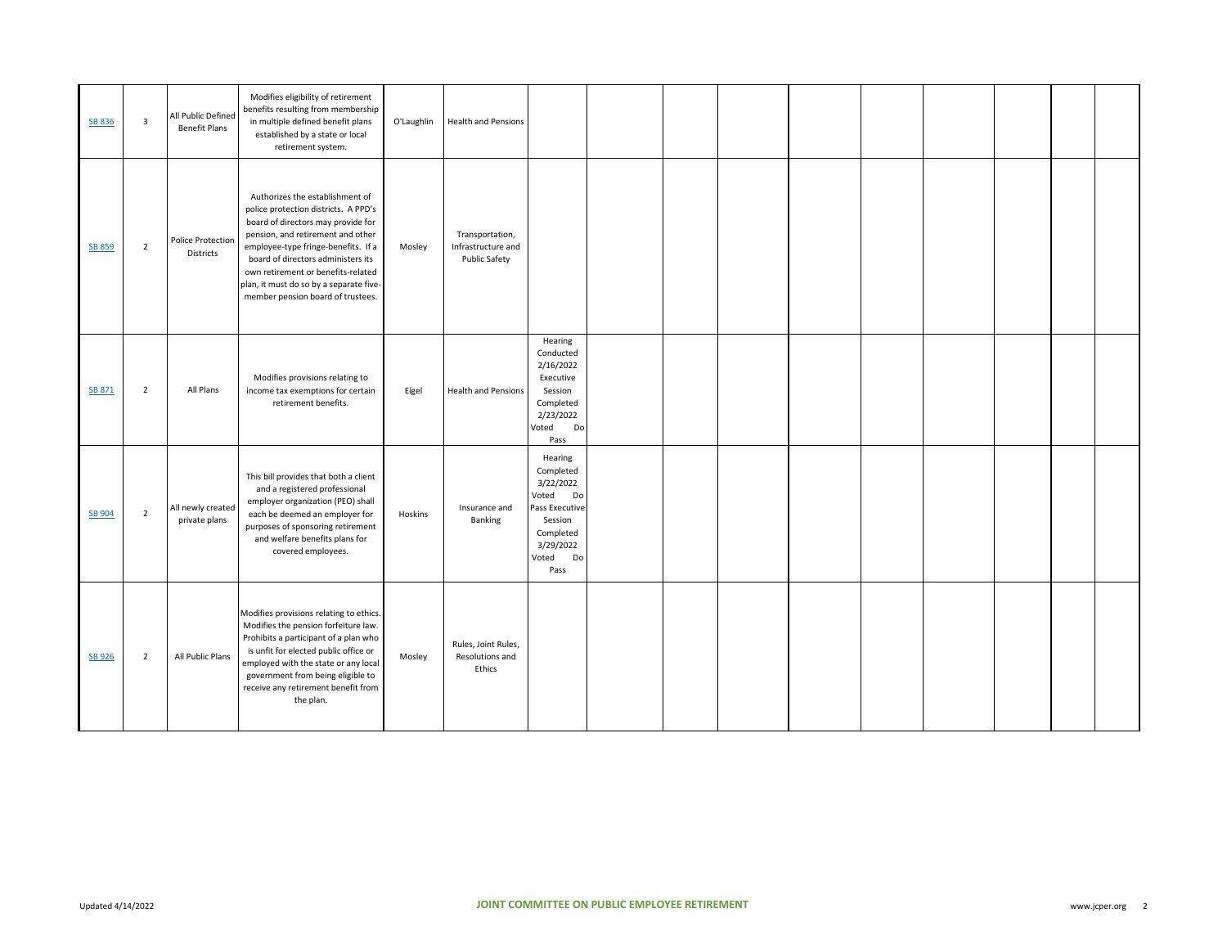| SB 836        | $\overline{\mathbf{3}}$ | All Public Defined<br><b>Benefit Plans</b> | Modifies eligibility of retirement<br>benefits resulting from membership<br>in multiple defined benefit plans<br>established by a state or local<br>retirement system.                                                                                                                                                                                | O'Laughlin | <b>Health and Pensions</b>                             |                                                                                                                                |  |  |  |  |  |
|---------------|-------------------------|--------------------------------------------|-------------------------------------------------------------------------------------------------------------------------------------------------------------------------------------------------------------------------------------------------------------------------------------------------------------------------------------------------------|------------|--------------------------------------------------------|--------------------------------------------------------------------------------------------------------------------------------|--|--|--|--|--|
| <b>SB 859</b> | $\overline{2}$          | Police Protection<br>Districts             | Authorizes the establishment of<br>police protection districts. A PPD's<br>board of directors may provide for<br>pension, and retirement and other<br>employee-type fringe-benefits. If a<br>board of directors administers its<br>own retirement or benefits-related<br>plan, it must do so by a separate five-<br>member pension board of trustees. | Mosley     | Transportation,<br>Infrastructure and<br>Public Safety |                                                                                                                                |  |  |  |  |  |
| SB 871        | $\overline{2}$          | All Plans                                  | Modifies provisions relating to<br>income tax exemptions for certain<br>retirement benefits.                                                                                                                                                                                                                                                          | Eigel      | <b>Health and Pensions</b>                             | Hearing<br>Conducted<br>2/16/2022<br>Executive<br>Session<br>Completed<br>2/23/2022<br>Do<br>Voted<br>Pass                     |  |  |  |  |  |
| <b>SB 904</b> | $\overline{2}$          | All newly created<br>private plans         | This bill provides that both a client<br>and a registered professional<br>employer organization (PEO) shall<br>each be deemed an employer for<br>purposes of sponsoring retirement<br>and welfare benefits plans for<br>covered employees.                                                                                                            | Hoskins    | Insurance and<br>Banking                               | Hearing<br>Completed<br>3/22/2022<br>Voted<br>Do<br>Pass Executive<br>Session<br>Completed<br>3/29/2022<br>Do<br>Voted<br>Pass |  |  |  |  |  |
| <b>SB 926</b> | $\overline{2}$          | All Public Plans                           | Modifies provisions relating to ethics.<br>Modifies the pension forfeiture law.<br>Prohibits a participant of a plan who<br>is unfit for elected public office or<br>employed with the state or any local<br>government from being eligible to<br>receive any retirement benefit from<br>the plan.                                                    | Mosley     | Rules, Joint Rules,<br>Resolutions and<br>Ethics       |                                                                                                                                |  |  |  |  |  |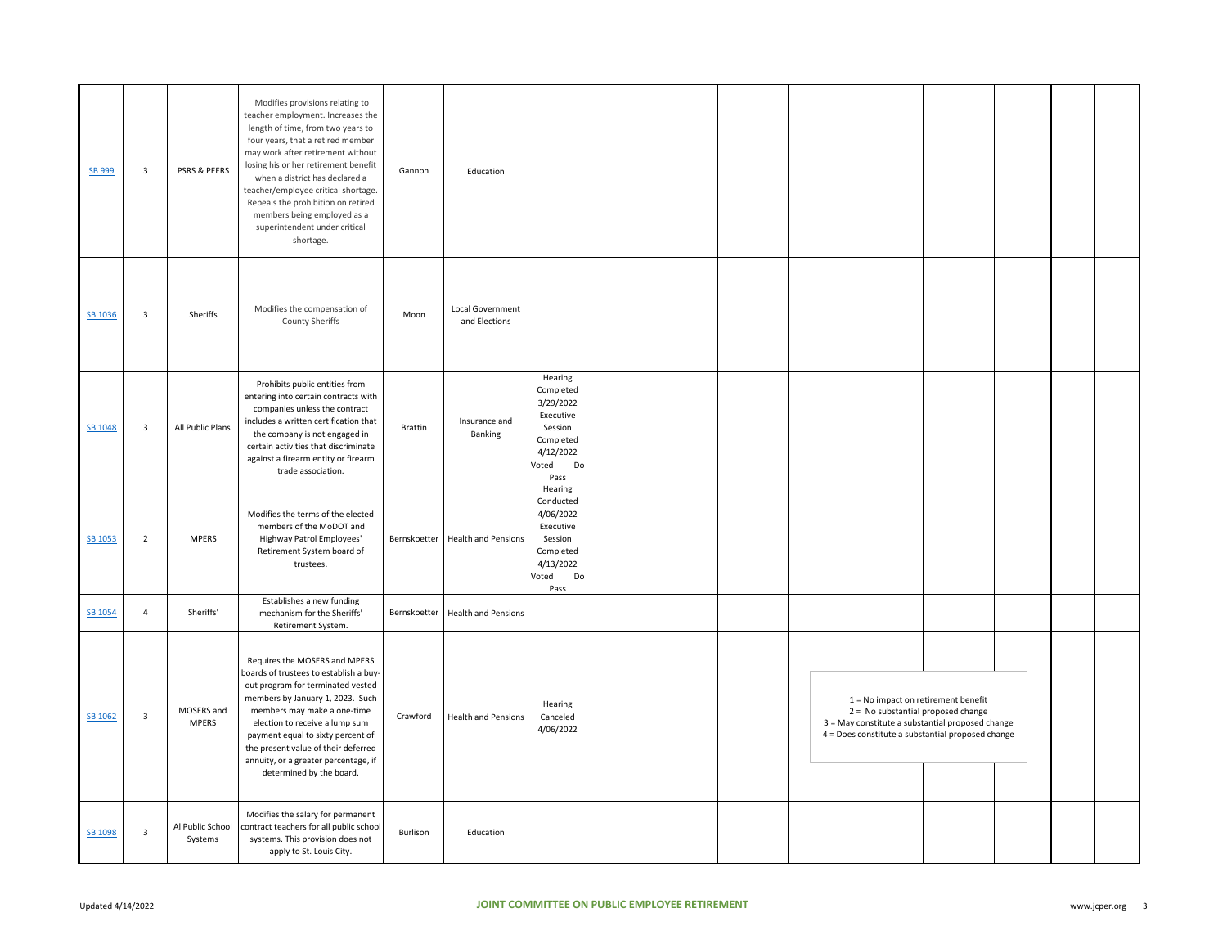| SB 999  | $\overline{\mathbf{3}}$ | PSRS & PEERS                | Modifies provisions relating to<br>teacher employment. Increases the<br>length of time, from two years to<br>four years, that a retired member<br>may work after retirement without<br>losing his or her retirement benefit<br>when a district has declared a<br>teacher/employee critical shortage.<br>Repeals the prohibition on retired<br>members being employed as a<br>superintendent under critical<br>shortage. | Gannon   | Education                         |                                                                                                            |  |  |                                                                                                                                                                                      |  |  |
|---------|-------------------------|-----------------------------|-------------------------------------------------------------------------------------------------------------------------------------------------------------------------------------------------------------------------------------------------------------------------------------------------------------------------------------------------------------------------------------------------------------------------|----------|-----------------------------------|------------------------------------------------------------------------------------------------------------|--|--|--------------------------------------------------------------------------------------------------------------------------------------------------------------------------------------|--|--|
| SB 1036 | $\overline{\mathbf{3}}$ | Sheriffs                    | Modifies the compensation of<br><b>County Sheriffs</b>                                                                                                                                                                                                                                                                                                                                                                  | Moon     | Local Government<br>and Elections |                                                                                                            |  |  |                                                                                                                                                                                      |  |  |
| SB 1048 | $\overline{\mathbf{3}}$ | All Public Plans            | Prohibits public entities from<br>entering into certain contracts with<br>companies unless the contract<br>includes a written certification that<br>the company is not engaged in<br>certain activities that discriminate<br>against a firearm entity or firearm<br>trade association.                                                                                                                                  | Brattin  | Insurance and<br>Banking          | Hearing<br>Completed<br>3/29/2022<br>Executive<br>Session<br>Completed<br>4/12/2022<br>Voted<br>Do<br>Pass |  |  |                                                                                                                                                                                      |  |  |
| SB 1053 | $\overline{2}$          | <b>MPERS</b>                | Modifies the terms of the elected<br>members of the MoDOT and<br>Highway Patrol Employees'<br>Retirement System board of<br>trustees.                                                                                                                                                                                                                                                                                   |          | Bernskoetter Health and Pensions  | Hearing<br>Conducted<br>4/06/2022<br>Executive<br>Session<br>Completed<br>4/13/2022<br>Voted<br>Do<br>Pass |  |  |                                                                                                                                                                                      |  |  |
| SB 1054 | $\overline{4}$          | Sheriffs'                   | Establishes a new funding<br>mechanism for the Sheriffs'<br>Retirement System.                                                                                                                                                                                                                                                                                                                                          |          | Bernskoetter Health and Pensions  |                                                                                                            |  |  |                                                                                                                                                                                      |  |  |
| SB 1062 | $\overline{\mathbf{3}}$ | MOSERS and<br><b>MPERS</b>  | Requires the MOSERS and MPERS<br>boards of trustees to establish a buy-<br>out program for terminated vested<br>members by January 1, 2023. Such<br>members may make a one-time<br>election to receive a lump sum<br>payment equal to sixty percent of<br>the present value of their deferred<br>annuity, or a greater percentage, if<br>determined by the board.                                                       | Crawford | <b>Health and Pensions</b>        | Hearing<br>Canceled<br>4/06/2022                                                                           |  |  | $1 = No$ impact on retirement benefit<br>2 = No substantial proposed change<br>3 = May constitute a substantial proposed change<br>4 = Does constitute a substantial proposed change |  |  |
| SB 1098 | $\overline{\mathbf{3}}$ | Al Public School<br>Systems | Modifies the salary for permanent<br>contract teachers for all public school<br>systems. This provision does not<br>apply to St. Louis City.                                                                                                                                                                                                                                                                            | Burlison | Education                         |                                                                                                            |  |  |                                                                                                                                                                                      |  |  |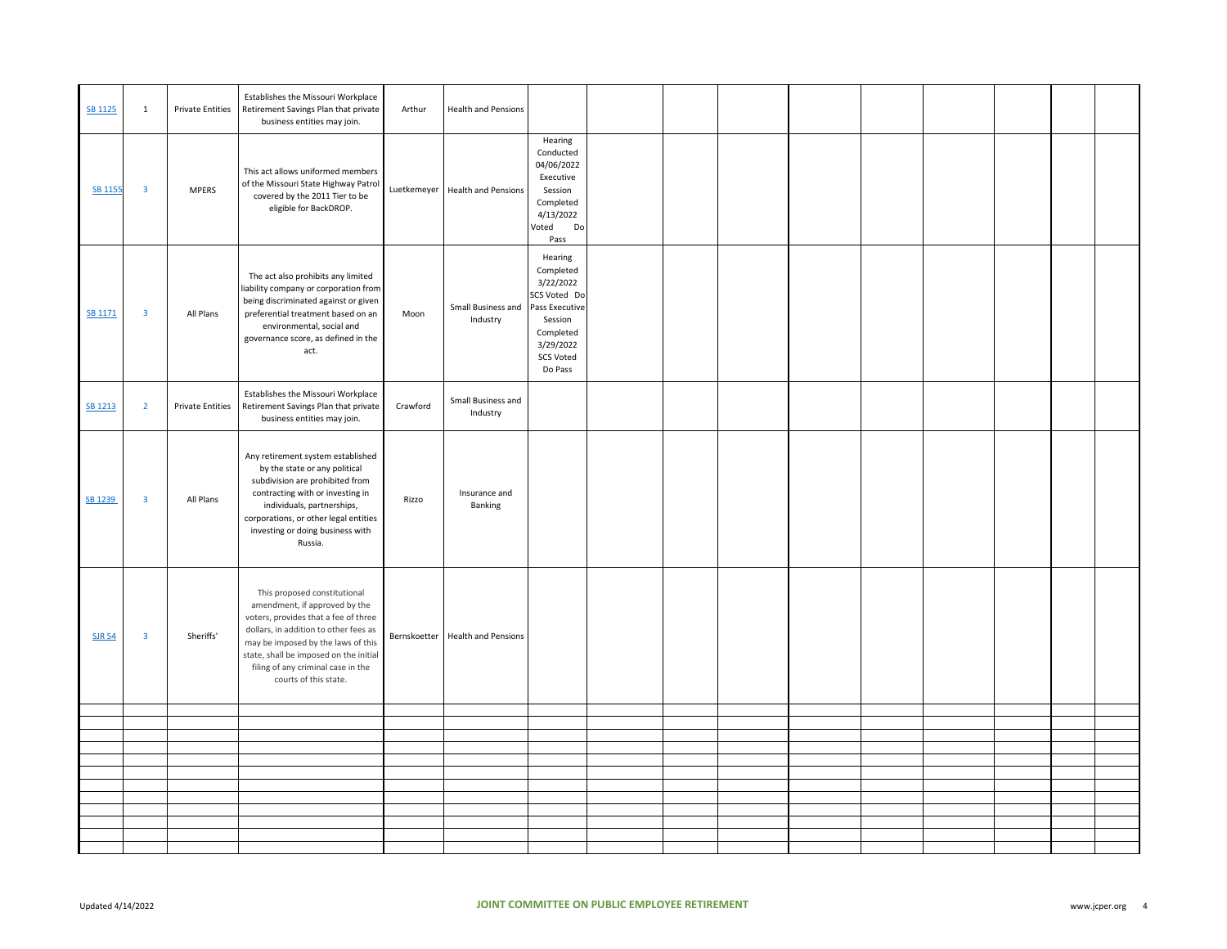| SB 1125        | $\mathbf{1}$            | <b>Private Entities</b> | Establishes the Missouri Workplace<br>Retirement Savings Plan that private<br>business entities may join.                                                                                                                                                                                     | Arthur       | <b>Health and Pensions</b>     |                                                                                                                                         |  |  |  |  |  |
|----------------|-------------------------|-------------------------|-----------------------------------------------------------------------------------------------------------------------------------------------------------------------------------------------------------------------------------------------------------------------------------------------|--------------|--------------------------------|-----------------------------------------------------------------------------------------------------------------------------------------|--|--|--|--|--|
| <b>SB 1155</b> | $\overline{\mathbf{3}}$ | <b>MPERS</b>            | This act allows uniformed members<br>of the Missouri State Highway Patrol<br>covered by the 2011 Tier to be<br>eligible for BackDROP.                                                                                                                                                         | Luetkemeyer  | <b>Health and Pensions</b>     | Hearing<br>Conducted<br>04/06/2022<br>Executive<br>Session<br>Completed<br>4/13/2022<br>Voted<br>Do<br>Pass                             |  |  |  |  |  |
| SB 1171        | $\mathbf{3}$            | All Plans               | The act also prohibits any limited<br>liability company or corporation from<br>being discriminated against or given<br>preferential treatment based on an<br>environmental, social and<br>governance score, as defined in the<br>act.                                                         | Moon         | Small Business and<br>Industry | Hearing<br>Completed<br>3/22/2022<br>SCS Voted Do<br>Pass Executive<br>Session<br>Completed<br>3/29/2022<br><b>SCS Voted</b><br>Do Pass |  |  |  |  |  |
| SB 1213        | $\overline{2}$          | <b>Private Entities</b> | Establishes the Missouri Workplace<br>Retirement Savings Plan that private<br>business entities may join.                                                                                                                                                                                     | Crawford     | Small Business and<br>Industry |                                                                                                                                         |  |  |  |  |  |
| SB 1239        | $\overline{\mathbf{3}}$ | All Plans               | Any retirement system established<br>by the state or any political<br>subdivision are prohibited from<br>contracting with or investing in<br>individuals, partnerships,<br>corporations, or other legal entities<br>investing or doing business with<br>Russia.                               | Rizzo        | Insurance and<br>Banking       |                                                                                                                                         |  |  |  |  |  |
| <b>SJR 54</b>  | $\overline{\mathbf{3}}$ | Sheriffs'               | This proposed constitutional<br>amendment, if approved by the<br>voters, provides that a fee of three<br>dollars, in addition to other fees as<br>may be imposed by the laws of this<br>state, shall be imposed on the initial<br>filing of any criminal case in the<br>courts of this state. | Bernskoetter | <b>Health and Pensions</b>     |                                                                                                                                         |  |  |  |  |  |
|                |                         |                         |                                                                                                                                                                                                                                                                                               |              |                                |                                                                                                                                         |  |  |  |  |  |
|                |                         |                         |                                                                                                                                                                                                                                                                                               |              |                                |                                                                                                                                         |  |  |  |  |  |
|                |                         |                         |                                                                                                                                                                                                                                                                                               |              |                                |                                                                                                                                         |  |  |  |  |  |
|                |                         |                         |                                                                                                                                                                                                                                                                                               |              |                                |                                                                                                                                         |  |  |  |  |  |
|                |                         |                         |                                                                                                                                                                                                                                                                                               |              |                                |                                                                                                                                         |  |  |  |  |  |
|                |                         |                         |                                                                                                                                                                                                                                                                                               |              |                                |                                                                                                                                         |  |  |  |  |  |
|                |                         |                         |                                                                                                                                                                                                                                                                                               |              |                                |                                                                                                                                         |  |  |  |  |  |
|                |                         |                         |                                                                                                                                                                                                                                                                                               |              |                                |                                                                                                                                         |  |  |  |  |  |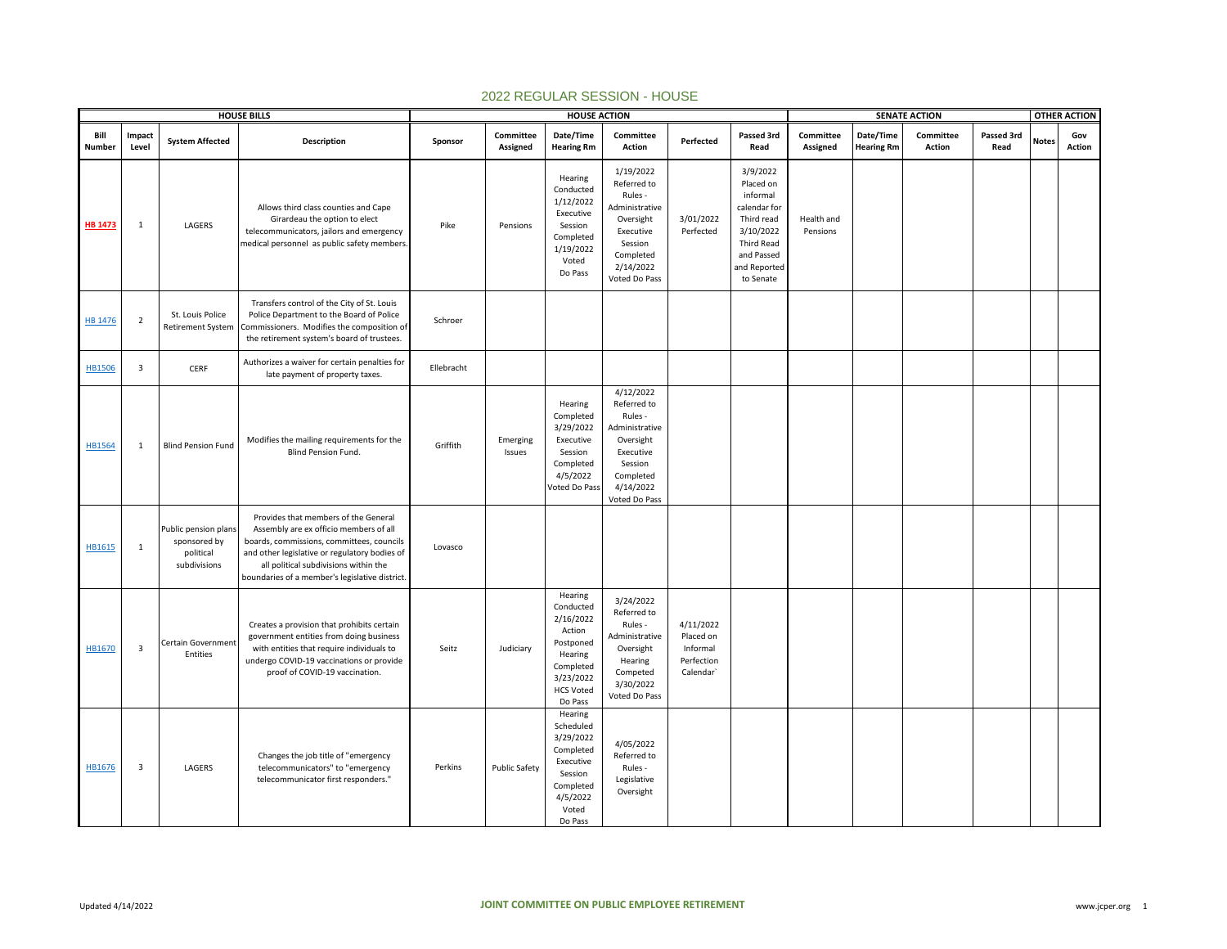|                |                         |                                                                   | <b>HOUSE BILLS</b>                                                                                                                                                                                                                                                      |            |                       | <b>HOUSE ACTION</b>                                                                                                          |                                                                                                                                       |                                                               |                                                                                                                                              |                        |                                | <b>SENATE ACTION</b> |                    |              | <b>OTHER ACTION</b> |
|----------------|-------------------------|-------------------------------------------------------------------|-------------------------------------------------------------------------------------------------------------------------------------------------------------------------------------------------------------------------------------------------------------------------|------------|-----------------------|------------------------------------------------------------------------------------------------------------------------------|---------------------------------------------------------------------------------------------------------------------------------------|---------------------------------------------------------------|----------------------------------------------------------------------------------------------------------------------------------------------|------------------------|--------------------------------|----------------------|--------------------|--------------|---------------------|
| Bill<br>Number | Impact<br>Level         | <b>System Affected</b>                                            | Description                                                                                                                                                                                                                                                             | Sponsor    | Committee<br>Assigned | Date/Time<br><b>Hearing Rm</b>                                                                                               | Committee<br>Action                                                                                                                   | Perfected                                                     | Passed 3rd<br>Read                                                                                                                           | Committee<br>Assigned  | Date/Time<br><b>Hearing Rm</b> | Committee<br>Action  | Passed 3rd<br>Read | <b>Notes</b> | Gov<br>Action       |
| <b>HB 1473</b> | 1                       | LAGERS                                                            | Allows third class counties and Cape<br>Girardeau the option to elect<br>telecommunicators, jailors and emergency<br>medical personnel as public safety members                                                                                                         | Pike       | Pensions              | Hearing<br>Conducted<br>1/12/2022<br>Executive<br>Session<br>Completed<br>1/19/2022<br>Voted<br>Do Pass                      | 1/19/2022<br>Referred to<br>Rules -<br>Administrative<br>Oversight<br>Executive<br>Session<br>Completed<br>2/14/2022<br>Voted Do Pass | 3/01/2022<br>Perfected                                        | 3/9/2022<br>Placed on<br>informal<br>calendar for<br>Third read<br>3/10/2022<br><b>Third Read</b><br>and Passed<br>and Reported<br>to Senate | Health and<br>Pensions |                                |                      |                    |              |                     |
| HB 1476        | $\overline{2}$          | St. Louis Police<br><b>Retirement System</b>                      | Transfers control of the City of St. Louis<br>Police Department to the Board of Police<br>Commissioners. Modifies the composition of<br>the retirement system's board of trustees.                                                                                      | Schroer    |                       |                                                                                                                              |                                                                                                                                       |                                                               |                                                                                                                                              |                        |                                |                      |                    |              |                     |
| <b>HB1506</b>  | $\overline{\mathbf{3}}$ | CERF                                                              | Authorizes a waiver for certain penalties for<br>late payment of property taxes.                                                                                                                                                                                        | Ellebracht |                       |                                                                                                                              |                                                                                                                                       |                                                               |                                                                                                                                              |                        |                                |                      |                    |              |                     |
| HB1564         | 1                       | <b>Blind Pension Fund</b>                                         | Modifies the mailing requirements for the<br>Blind Pension Fund.                                                                                                                                                                                                        | Griffith   | Emerging<br>Issues    | Hearing<br>Completed<br>3/29/2022<br>Executive<br>Session<br>Completed<br>4/5/2022<br>Voted Do Pass                          | 4/12/2022<br>Referred to<br>Rules -<br>Administrative<br>Oversight<br>Executive<br>Session<br>Completed<br>4/14/2022<br>Voted Do Pass |                                                               |                                                                                                                                              |                        |                                |                      |                    |              |                     |
| HB1615         | $\mathbf{1}$            | Public pension plans<br>sponsored by<br>political<br>subdivisions | Provides that members of the General<br>Assembly are ex officio members of all<br>boards, commissions, committees, councils<br>and other legislative or regulatory bodies of<br>all political subdivisions within the<br>boundaries of a member's legislative district. | Lovasco    |                       |                                                                                                                              |                                                                                                                                       |                                                               |                                                                                                                                              |                        |                                |                      |                    |              |                     |
| HB1670         | $\overline{\mathbf{3}}$ | Certain Government<br>Entities                                    | Creates a provision that prohibits certain<br>government entities from doing business<br>with entities that require individuals to<br>undergo COVID-19 vaccinations or provide<br>proof of COVID-19 vaccination.                                                        | Seitz      | Judiciary             | Hearing<br>Conducted<br>2/16/2022<br>Action<br>Postponed<br>Hearing<br>Completed<br>3/23/2022<br><b>HCS Voted</b><br>Do Pass | 3/24/2022<br>Referred to<br>Rules -<br>Administrative<br>Oversight<br>Hearing<br>Competed<br>3/30/2022<br>Voted Do Pass               | 4/11/2022<br>Placed on<br>Informal<br>Perfection<br>Calendar` |                                                                                                                                              |                        |                                |                      |                    |              |                     |
| HB1676         | $\overline{\mathbf{3}}$ | LAGERS                                                            | Changes the job title of "emergency<br>telecommunicators" to "emergency<br>telecommunicator first responders."                                                                                                                                                          | Perkins    | <b>Public Safety</b>  | Hearing<br>Scheduled<br>3/29/2022<br>Completed<br>Executive<br>Session<br>Completed<br>4/5/2022<br>Voted<br>Do Pass          | 4/05/2022<br>Referred to<br>Rules -<br>Legislative<br>Oversight                                                                       |                                                               |                                                                                                                                              |                        |                                |                      |                    |              |                     |

## 2022 REGULAR SESSION - HOUSE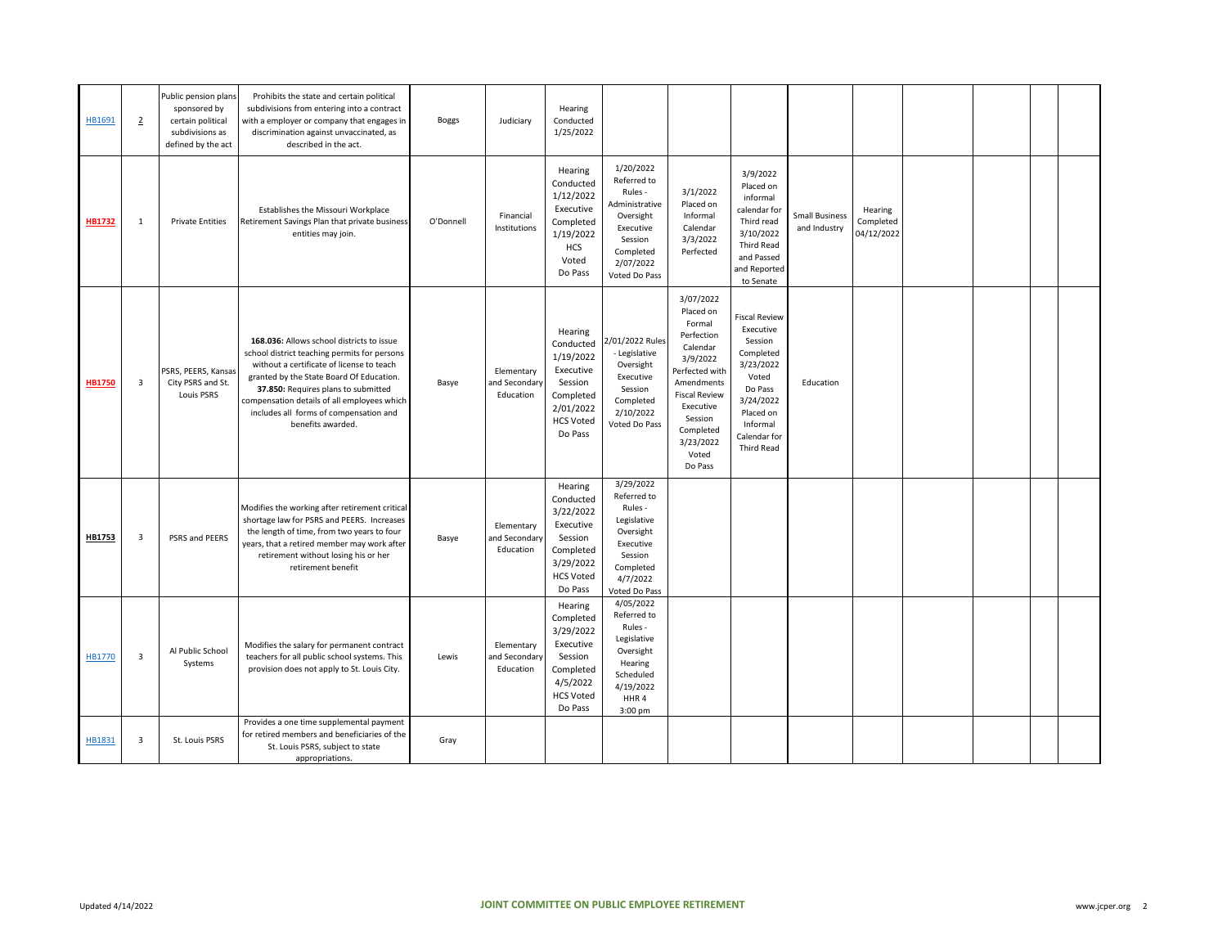| HB1691        | $\overline{2}$          | Public pension plans<br>sponsored by<br>certain political<br>subdivisions as<br>defined by the act | Prohibits the state and certain political<br>subdivisions from entering into a contract<br>with a employer or company that engages ir<br>discrimination against unvaccinated, as<br>described in the act.                                                                                                                               | <b>Boggs</b> | Judiciary                                | Hearing<br>Conducted<br>1/25/2022                                                                                  |                                                                                                                                       |                                                                                                                                                                                                      |                                                                                                                                                                       |                                       |                                    |  |  |
|---------------|-------------------------|----------------------------------------------------------------------------------------------------|-----------------------------------------------------------------------------------------------------------------------------------------------------------------------------------------------------------------------------------------------------------------------------------------------------------------------------------------|--------------|------------------------------------------|--------------------------------------------------------------------------------------------------------------------|---------------------------------------------------------------------------------------------------------------------------------------|------------------------------------------------------------------------------------------------------------------------------------------------------------------------------------------------------|-----------------------------------------------------------------------------------------------------------------------------------------------------------------------|---------------------------------------|------------------------------------|--|--|
| HB1732        | 1                       | <b>Private Entities</b>                                                                            | Establishes the Missouri Workplace<br>Retirement Savings Plan that private business<br>entities may join.                                                                                                                                                                                                                               | O'Donnell    | Financial<br>Institutions                | Hearing<br>Conducted<br>1/12/2022<br>Executive<br>Completed<br>1/19/2022<br>HCS<br>Voted<br>Do Pass                | 1/20/2022<br>Referred to<br>Rules -<br>Administrative<br>Oversight<br>Executive<br>Session<br>Completed<br>2/07/2022<br>Voted Do Pass | 3/1/2022<br>Placed on<br>Informal<br>Calendar<br>3/3/2022<br>Perfected                                                                                                                               | 3/9/2022<br>Placed on<br>informal<br>calendar for<br>Third read<br>3/10/2022<br>Third Read<br>and Passed<br>and Reported<br>to Senate                                 | <b>Small Business</b><br>and Industry | Hearing<br>Completed<br>04/12/2022 |  |  |
| <b>HB1750</b> | $\overline{\mathbf{3}}$ | PSRS, PEERS, Kansas<br>City PSRS and St.<br>Louis PSRS                                             | 168.036: Allows school districts to issue<br>school district teaching permits for persons<br>without a certificate of license to teach<br>granted by the State Board Of Education.<br>37.850: Requires plans to submitted<br>compensation details of all employees which<br>includes all forms of compensation and<br>benefits awarded. | Basye        | Elementary<br>and Secondary<br>Education | Hearing<br>Conducted<br>1/19/2022<br>Executive<br>Session<br>Completed<br>2/01/2022<br><b>HCS Voted</b><br>Do Pass | 2/01/2022 Rules<br>- Legislative<br>Oversight<br>Executive<br>Session<br>Completed<br>2/10/2022<br>Voted Do Pass                      | 3/07/2022<br>Placed on<br>Formal<br>Perfection<br>Calendar<br>3/9/2022<br>Perfected with<br>Amendments<br><b>Fiscal Review</b><br>Executive<br>Session<br>Completed<br>3/23/2022<br>Voted<br>Do Pass | <b>Fiscal Review</b><br>Executive<br>Session<br>Completed<br>3/23/2022<br>Voted<br>Do Pass<br>3/24/2022<br>Placed on<br>Informal<br>Calendar for<br><b>Third Read</b> | Education                             |                                    |  |  |
| HB1753        | $\overline{\mathbf{3}}$ | PSRS and PEERS                                                                                     | Modifies the working after retirement critical<br>shortage law for PSRS and PEERS. Increases<br>the length of time, from two years to four<br>years, that a retired member may work after<br>retirement without losing his or her<br>retirement benefit                                                                                 | Basye        | Elementary<br>and Secondary<br>Education | Hearing<br>Conducted<br>3/22/2022<br>Executive<br>Session<br>Completed<br>3/29/2022<br><b>HCS Voted</b><br>Do Pass | 3/29/2022<br>Referred to<br>Rules -<br>Legislative<br>Oversight<br>Executive<br>Session<br>Completed<br>4/7/2022<br>Voted Do Pass     |                                                                                                                                                                                                      |                                                                                                                                                                       |                                       |                                    |  |  |
| HB1770        | $\overline{\mathbf{3}}$ | Al Public School<br>Systems                                                                        | Modifies the salary for permanent contract<br>teachers for all public school systems. This<br>provision does not apply to St. Louis City.                                                                                                                                                                                               | Lewis        | Elementary<br>and Secondary<br>Education | Hearing<br>Completed<br>3/29/2022<br>Executive<br>Session<br>Completed<br>4/5/2022<br><b>HCS Voted</b><br>Do Pass  | 4/05/2022<br>Referred to<br>Rules -<br>Legislative<br>Oversight<br>Hearing<br>Scheduled<br>4/19/2022<br>HHR4<br>3:00 pm               |                                                                                                                                                                                                      |                                                                                                                                                                       |                                       |                                    |  |  |
| HB1831        | $\overline{\mathbf{3}}$ | St. Louis PSRS                                                                                     | Provides a one time supplemental payment<br>for retired members and beneficiaries of the<br>St. Louis PSRS, subject to state<br>appropriations.                                                                                                                                                                                         | Gray         |                                          |                                                                                                                    |                                                                                                                                       |                                                                                                                                                                                                      |                                                                                                                                                                       |                                       |                                    |  |  |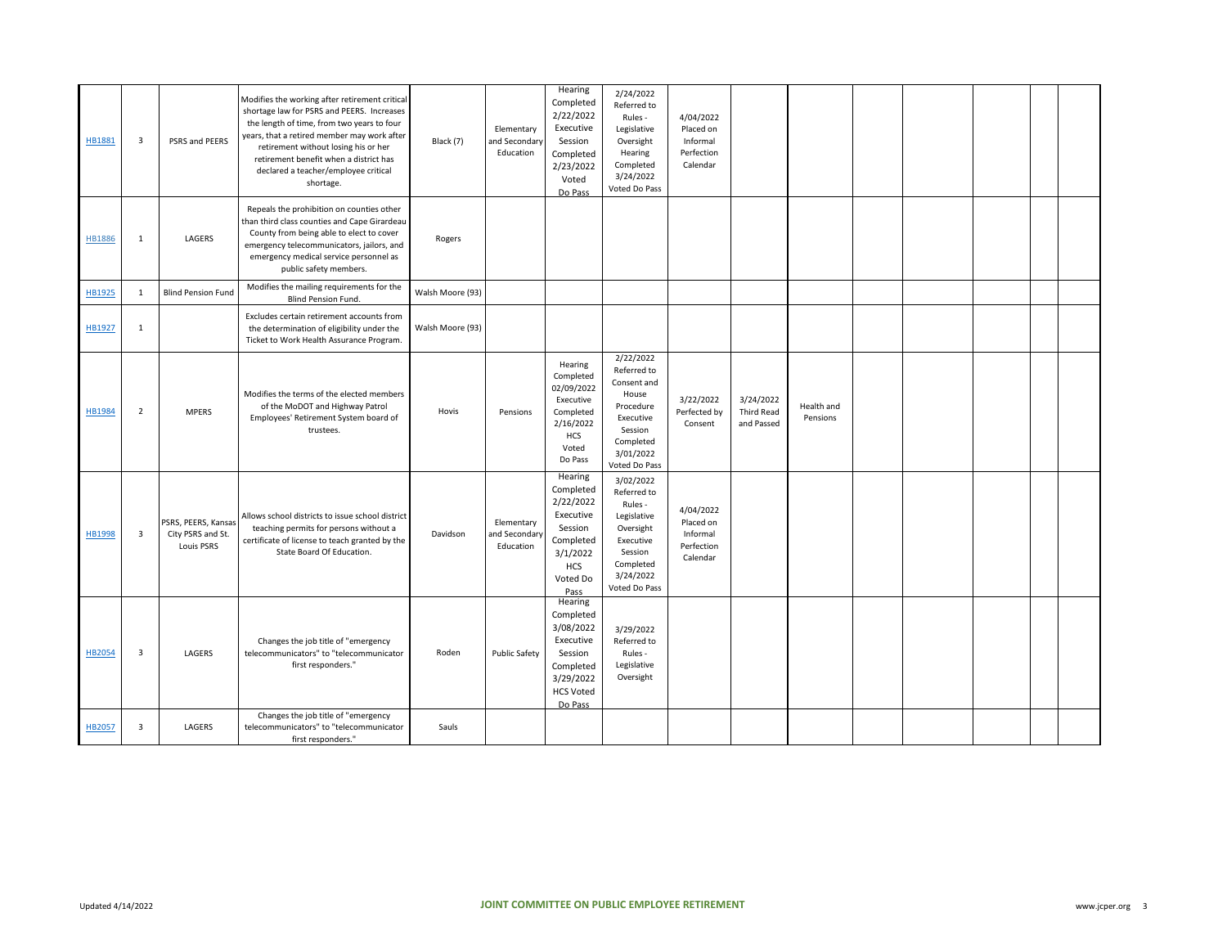| HB1881        | $\overline{\mathbf{3}}$ | PSRS and PEERS                                         | Modifies the working after retirement critical<br>shortage law for PSRS and PEERS. Increases<br>the length of time, from two years to four<br>years, that a retired member may work after<br>retirement without losing his or her<br>retirement benefit when a district has<br>declared a teacher/employee critical<br>shortage. | Black (7)        | Elementary<br>and Secondary<br>Education | Hearing<br>Completed<br>2/22/2022<br>Executive<br>Session<br>Completed<br>2/23/2022<br>Voted<br>Do Pass              | 2/24/2022<br>Referred to<br>Rules -<br>Legislative<br>Oversight<br>Hearing<br>Completed<br>3/24/2022<br>Voted Do Pass              | 4/04/2022<br>Placed on<br>Informal<br>Perfection<br>Calendar |                                       |                        |  |  |  |
|---------------|-------------------------|--------------------------------------------------------|----------------------------------------------------------------------------------------------------------------------------------------------------------------------------------------------------------------------------------------------------------------------------------------------------------------------------------|------------------|------------------------------------------|----------------------------------------------------------------------------------------------------------------------|------------------------------------------------------------------------------------------------------------------------------------|--------------------------------------------------------------|---------------------------------------|------------------------|--|--|--|
| <b>HB1886</b> | $\mathbf{1}$            | LAGERS                                                 | Repeals the prohibition on counties other<br>than third class counties and Cape Girardeau<br>County from being able to elect to cover<br>emergency telecommunicators, jailors, and<br>emergency medical service personnel as<br>public safety members.                                                                           | Rogers           |                                          |                                                                                                                      |                                                                                                                                    |                                                              |                                       |                        |  |  |  |
| HB1925        | 1                       | <b>Blind Pension Fund</b>                              | Modifies the mailing requirements for the<br>Blind Pension Fund.                                                                                                                                                                                                                                                                 | Walsh Moore (93) |                                          |                                                                                                                      |                                                                                                                                    |                                                              |                                       |                        |  |  |  |
| HB1927        | 1                       |                                                        | Excludes certain retirement accounts from<br>the determination of eligibility under the<br>Ticket to Work Health Assurance Program.                                                                                                                                                                                              | Walsh Moore (93) |                                          |                                                                                                                      |                                                                                                                                    |                                                              |                                       |                        |  |  |  |
| HB1984        | $\overline{2}$          | <b>MPERS</b>                                           | Modifies the terms of the elected members<br>of the MoDOT and Highway Patrol<br>Employees' Retirement System board of<br>trustees.                                                                                                                                                                                               | Hovis            | Pensions                                 | Hearing<br>Completed<br>02/09/2022<br>Executive<br>Completed<br>2/16/2022<br>HCS<br>Voted<br>Do Pass                 | 2/22/2022<br>Referred to<br>Consent and<br>House<br>Procedure<br>Executive<br>Session<br>Completed<br>3/01/2022<br>Voted Do Pass   | 3/22/2022<br>Perfected by<br>Consent                         | 3/24/2022<br>Third Read<br>and Passed | Health and<br>Pensions |  |  |  |
| HB1998        | $\overline{\mathbf{3}}$ | PSRS, PEERS, Kansas<br>City PSRS and St.<br>Louis PSRS | Allows school districts to issue school district<br>teaching permits for persons without a<br>certificate of license to teach granted by the<br>State Board Of Education.                                                                                                                                                        | Davidson         | Elementary<br>and Secondary<br>Education | Hearing<br>Completed<br>2/22/2022<br>Executive<br>Session<br>Completed<br>3/1/2022<br><b>HCS</b><br>Voted Do<br>Pass | 3/02/2022<br>Referred to<br>Rules -<br>Legislative<br>Oversight<br>Executive<br>Session<br>Completed<br>3/24/2022<br>Voted Do Pass | 4/04/2022<br>Placed on<br>Informal<br>Perfection<br>Calendar |                                       |                        |  |  |  |
| HB2054        | $\overline{\mathbf{3}}$ | LAGERS                                                 | Changes the job title of "emergency<br>telecommunicators" to "telecommunicator<br>first responders."                                                                                                                                                                                                                             | Roden            | <b>Public Safety</b>                     | Hearing<br>Completed<br>3/08/2022<br>Executive<br>Session<br>Completed<br>3/29/2022<br><b>HCS Voted</b><br>Do Pass   | 3/29/2022<br>Referred to<br>Rules -<br>Legislative<br>Oversight                                                                    |                                                              |                                       |                        |  |  |  |
| <b>HB2057</b> | $\overline{3}$          | LAGERS                                                 | Changes the job title of "emergency<br>telecommunicators" to "telecommunicator<br>first responders."                                                                                                                                                                                                                             | Sauls            |                                          |                                                                                                                      |                                                                                                                                    |                                                              |                                       |                        |  |  |  |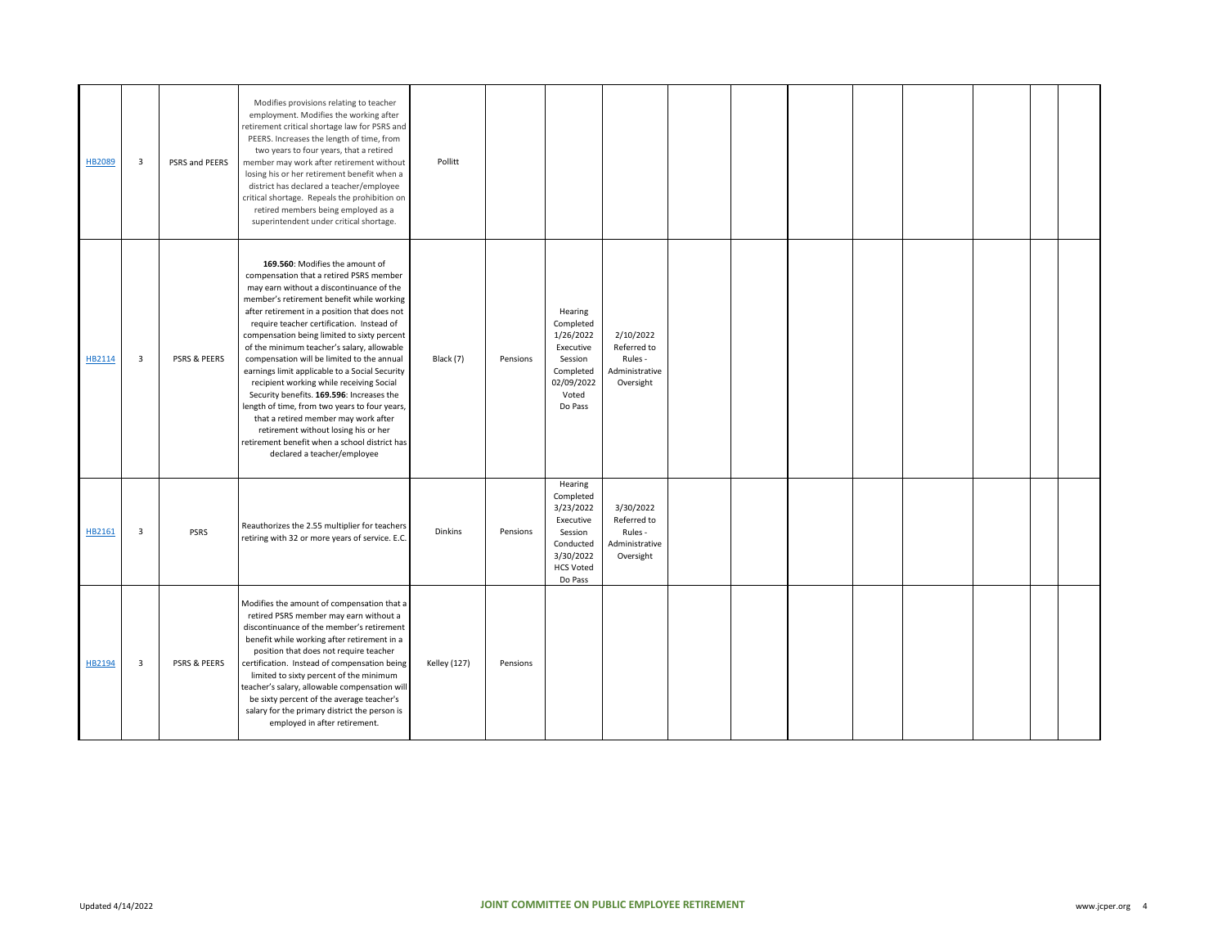| HB2089 | 3              | PSRS and PEERS | Modifies provisions relating to teacher<br>employment. Modifies the working after<br>retirement critical shortage law for PSRS and<br>PEERS. Increases the length of time, from<br>two years to four years, that a retired<br>member may work after retirement without<br>losing his or her retirement benefit when a<br>district has declared a teacher/employee<br>critical shortage. Repeals the prohibition on<br>retired members being employed as a<br>superintendent under critical shortage.                                                                                                                                                                                                                                                                    | Pollitt             |          |                                                                                                                    |                                                                    |  |  |  |  |
|--------|----------------|----------------|-------------------------------------------------------------------------------------------------------------------------------------------------------------------------------------------------------------------------------------------------------------------------------------------------------------------------------------------------------------------------------------------------------------------------------------------------------------------------------------------------------------------------------------------------------------------------------------------------------------------------------------------------------------------------------------------------------------------------------------------------------------------------|---------------------|----------|--------------------------------------------------------------------------------------------------------------------|--------------------------------------------------------------------|--|--|--|--|
| HB2114 | $\overline{3}$ | PSRS & PEERS   | 169.560: Modifies the amount of<br>compensation that a retired PSRS member<br>may earn without a discontinuance of the<br>member's retirement benefit while working<br>after retirement in a position that does not<br>require teacher certification. Instead of<br>compensation being limited to sixty percent<br>of the minimum teacher's salary, allowable<br>compensation will be limited to the annual<br>earnings limit applicable to a Social Security<br>recipient working while receiving Social<br>Security benefits. 169.596: Increases the<br>length of time, from two years to four years,<br>that a retired member may work after<br>retirement without losing his or her<br>retirement benefit when a school district has<br>declared a teacher/employee | Black (7)           | Pensions | Hearing<br>Completed<br>1/26/2022<br>Executive<br>Session<br>Completed<br>02/09/2022<br>Voted<br>Do Pass           | 2/10/2022<br>Referred to<br>Rules -<br>Administrative<br>Oversight |  |  |  |  |
| HB2161 | 3              | <b>PSRS</b>    | Reauthorizes the 2.55 multiplier for teachers<br>retiring with 32 or more years of service. E.C.                                                                                                                                                                                                                                                                                                                                                                                                                                                                                                                                                                                                                                                                        | Dinkins             | Pensions | Hearing<br>Completed<br>3/23/2022<br>Executive<br>Session<br>Conducted<br>3/30/2022<br><b>HCS Voted</b><br>Do Pass | 3/30/2022<br>Referred to<br>Rules -<br>Administrative<br>Oversight |  |  |  |  |
| HB2194 | 3              | PSRS & PEERS   | Modifies the amount of compensation that a<br>retired PSRS member may earn without a<br>discontinuance of the member's retirement<br>benefit while working after retirement in a<br>position that does not require teacher<br>certification. Instead of compensation being<br>limited to sixty percent of the minimum<br>teacher's salary, allowable compensation will<br>be sixty percent of the average teacher's<br>salary for the primary district the person is<br>employed in after retirement.                                                                                                                                                                                                                                                                   | <b>Kelley (127)</b> | Pensions |                                                                                                                    |                                                                    |  |  |  |  |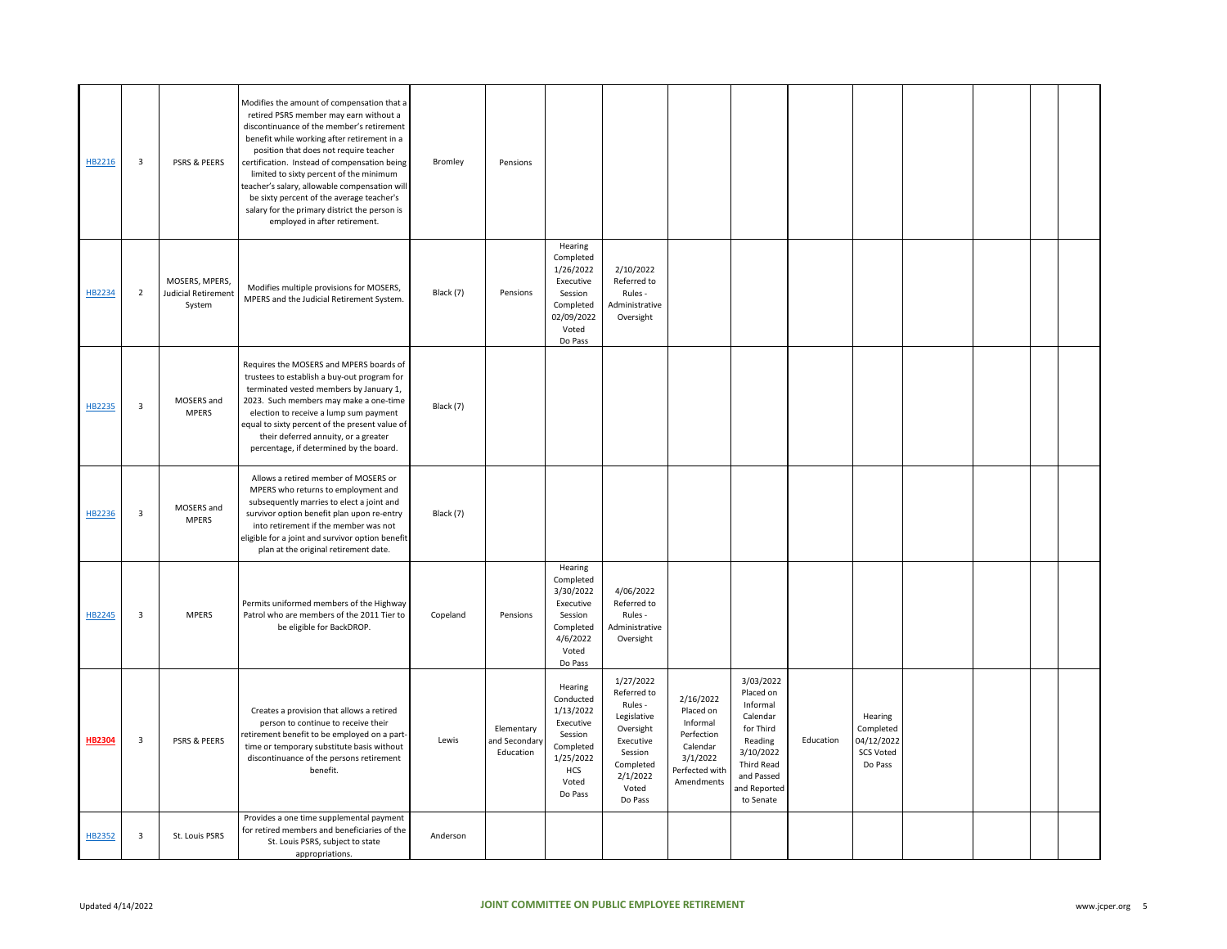| HB2216        | 3              | PSRS & PEERS                                           | Modifies the amount of compensation that a<br>retired PSRS member may earn without a<br>discontinuance of the member's retirement<br>benefit while working after retirement in a<br>position that does not require teacher<br>certification. Instead of compensation being<br>limited to sixty percent of the minimum<br>teacher's salary, allowable compensation will<br>be sixty percent of the average teacher's<br>salary for the primary district the person is<br>employed in after retirement. | Bromley   | Pensions                                 |                                                                                                                |                                                                                                                                      |                                                                                                          |                                                                                                                                              |           |                                                                   |  |  |
|---------------|----------------|--------------------------------------------------------|-------------------------------------------------------------------------------------------------------------------------------------------------------------------------------------------------------------------------------------------------------------------------------------------------------------------------------------------------------------------------------------------------------------------------------------------------------------------------------------------------------|-----------|------------------------------------------|----------------------------------------------------------------------------------------------------------------|--------------------------------------------------------------------------------------------------------------------------------------|----------------------------------------------------------------------------------------------------------|----------------------------------------------------------------------------------------------------------------------------------------------|-----------|-------------------------------------------------------------------|--|--|
| HB2234        | $\overline{2}$ | MOSERS, MPERS,<br><b>Judicial Retirement</b><br>System | Modifies multiple provisions for MOSERS,<br>MPERS and the Judicial Retirement System.                                                                                                                                                                                                                                                                                                                                                                                                                 | Black (7) | Pensions                                 | Hearing<br>Completed<br>1/26/2022<br>Executive<br>Session<br>Completed<br>02/09/2022<br>Voted<br>Do Pass       | 2/10/2022<br>Referred to<br>Rules -<br>Administrative<br>Oversight                                                                   |                                                                                                          |                                                                                                                                              |           |                                                                   |  |  |
| HB2235        | 3              | MOSERS and<br><b>MPERS</b>                             | Requires the MOSERS and MPERS boards of<br>trustees to establish a buy-out program for<br>terminated vested members by January 1,<br>2023. Such members may make a one-time<br>election to receive a lump sum payment<br>equal to sixty percent of the present value of<br>their deferred annuity, or a greater<br>percentage, if determined by the board.                                                                                                                                            | Black (7) |                                          |                                                                                                                |                                                                                                                                      |                                                                                                          |                                                                                                                                              |           |                                                                   |  |  |
| HB2236        | 3              | MOSERS and<br><b>MPERS</b>                             | Allows a retired member of MOSERS or<br>MPERS who returns to employment and<br>subsequently marries to elect a joint and<br>survivor option benefit plan upon re-entry<br>into retirement if the member was not<br>eligible for a joint and survivor option benefit<br>plan at the original retirement date.                                                                                                                                                                                          | Black (7) |                                          |                                                                                                                |                                                                                                                                      |                                                                                                          |                                                                                                                                              |           |                                                                   |  |  |
| HB2245        | 3              | <b>MPERS</b>                                           | Permits uniformed members of the Highway<br>Patrol who are members of the 2011 Tier to<br>be eligible for BackDROP.                                                                                                                                                                                                                                                                                                                                                                                   | Copeland  | Pensions                                 | Hearing<br>Completed<br>3/30/2022<br>Executive<br>Session<br>Completed<br>4/6/2022<br>Voted<br>Do Pass         | 4/06/2022<br>Referred to<br>Rules -<br>Administrative<br>Oversight                                                                   |                                                                                                          |                                                                                                                                              |           |                                                                   |  |  |
| <b>HB2304</b> | 3              | PSRS & PEERS                                           | Creates a provision that allows a retired<br>person to continue to receive their<br>retirement benefit to be employed on a part-<br>time or temporary substitute basis without<br>discontinuance of the persons retirement<br>benefit.                                                                                                                                                                                                                                                                | Lewis     | Elementary<br>and Secondary<br>Education | Hearing<br>Conducted<br>1/13/2022<br>Executive<br>Session<br>Completed<br>1/25/2022<br>HCS<br>Voted<br>Do Pass | 1/27/2022<br>Referred to<br>Rules -<br>Legislative<br>Oversight<br>Executive<br>Session<br>Completed<br>2/1/2022<br>Voted<br>Do Pass | 2/16/2022<br>Placed on<br>Informal<br>Perfection<br>Calendar<br>3/1/2022<br>Perfected with<br>Amendments | 3/03/2022<br>Placed on<br>Informal<br>Calendar<br>for Third<br>Reading<br>3/10/2022<br>Third Read<br>and Passed<br>and Reported<br>to Senate | Education | Hearing<br>Completed<br>04/12/2022<br><b>SCS Voted</b><br>Do Pass |  |  |
| HB2352        | $\mathsf 3$    | St. Louis PSRS                                         | Provides a one time supplemental payment<br>for retired members and beneficiaries of the<br>St. Louis PSRS, subject to state<br>appropriations.                                                                                                                                                                                                                                                                                                                                                       | Anderson  |                                          |                                                                                                                |                                                                                                                                      |                                                                                                          |                                                                                                                                              |           |                                                                   |  |  |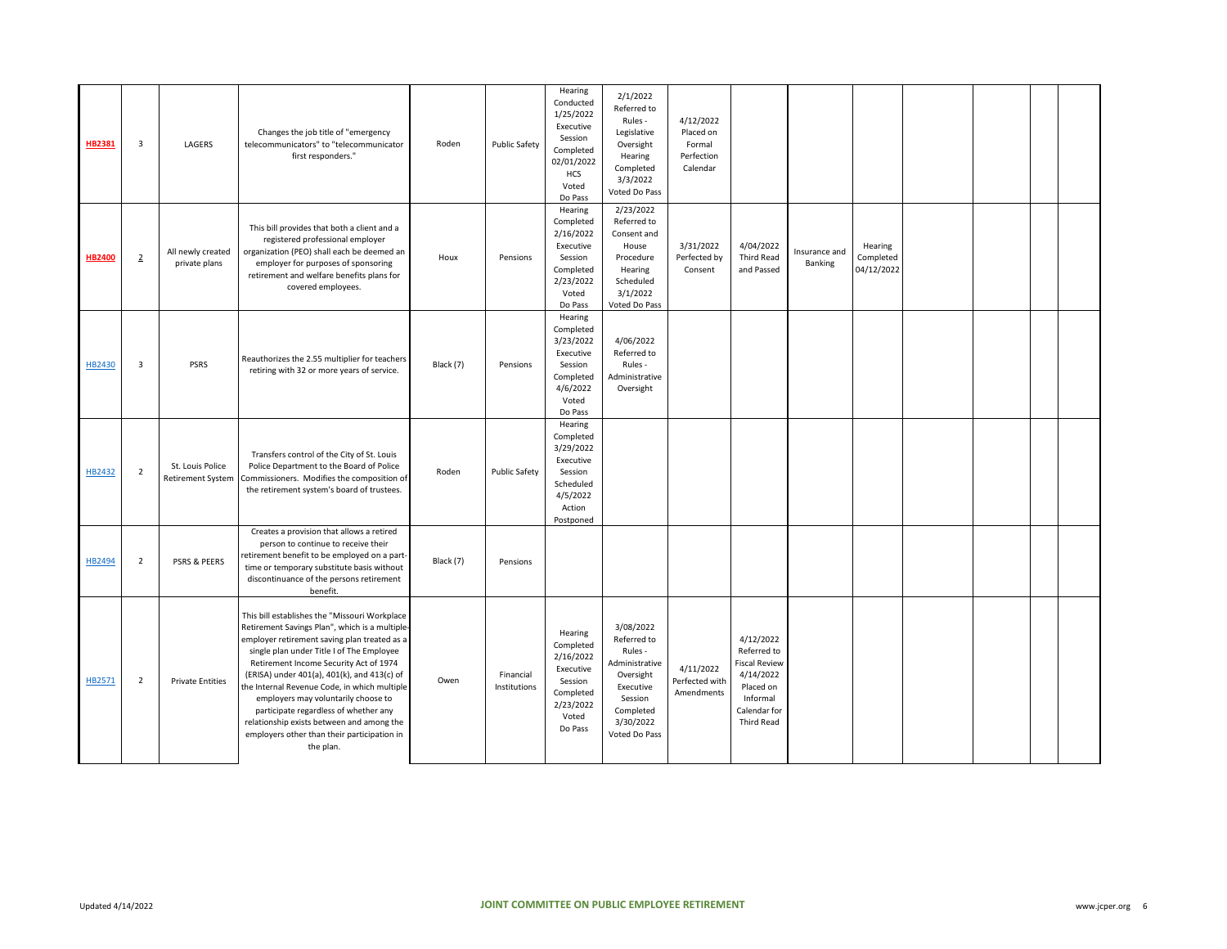| <b>HB2381</b> | $\overline{\mathbf{3}}$ | LAGERS                                       | Changes the job title of "emergency<br>telecommunicators" to "telecommunicator<br>first responders."                                                                                                                                                                                                                                                                                                                                                                                                                           | Roden     | <b>Public Safety</b>      | Hearing<br>Conducted<br>1/25/2022<br>Executive<br>Session<br>Completed<br>02/01/2022<br>HCS<br>Voted<br>Do Pass | 2/1/2022<br>Referred to<br>Rules -<br>Legislative<br>Oversight<br>Hearing<br>Completed<br>3/3/2022<br>Voted Do Pass                   | 4/12/2022<br>Placed on<br>Formal<br>Perfection<br>Calendar |                                                                                                                             |                          |                                    |  |  |
|---------------|-------------------------|----------------------------------------------|--------------------------------------------------------------------------------------------------------------------------------------------------------------------------------------------------------------------------------------------------------------------------------------------------------------------------------------------------------------------------------------------------------------------------------------------------------------------------------------------------------------------------------|-----------|---------------------------|-----------------------------------------------------------------------------------------------------------------|---------------------------------------------------------------------------------------------------------------------------------------|------------------------------------------------------------|-----------------------------------------------------------------------------------------------------------------------------|--------------------------|------------------------------------|--|--|
| <b>HB2400</b> | $\overline{2}$          | All newly created<br>private plans           | This bill provides that both a client and a<br>registered professional employer<br>organization (PEO) shall each be deemed an<br>employer for purposes of sponsoring<br>retirement and welfare benefits plans for<br>covered employees.                                                                                                                                                                                                                                                                                        | Houx      | Pensions                  | Hearing<br>Completed<br>2/16/2022<br>Executive<br>Session<br>Completed<br>2/23/2022<br>Voted<br>Do Pass         | 2/23/2022<br>Referred to<br>Consent and<br>House<br>Procedure<br>Hearing<br>Scheduled<br>3/1/2022<br>Voted Do Pass                    | 3/31/2022<br>Perfected by<br>Consent                       | 4/04/2022<br><b>Third Read</b><br>and Passed                                                                                | Insurance and<br>Banking | Hearing<br>Completed<br>04/12/2022 |  |  |
| HB2430        | $\overline{\mathbf{3}}$ | PSRS                                         | Reauthorizes the 2.55 multiplier for teachers<br>retiring with 32 or more years of service.                                                                                                                                                                                                                                                                                                                                                                                                                                    | Black (7) | Pensions                  | Hearing<br>Completed<br>3/23/2022<br>Executive<br>Session<br>Completed<br>4/6/2022<br>Voted<br>Do Pass          | 4/06/2022<br>Referred to<br>Rules -<br>Administrative<br>Oversight                                                                    |                                                            |                                                                                                                             |                          |                                    |  |  |
| HB2432        | $\overline{2}$          | St. Louis Police<br><b>Retirement System</b> | Transfers control of the City of St. Louis<br>Police Department to the Board of Police<br>Commissioners. Modifies the composition of<br>the retirement system's board of trustees.                                                                                                                                                                                                                                                                                                                                             | Roden     | <b>Public Safety</b>      | Hearing<br>Completed<br>3/29/2022<br>Executive<br>Session<br>Scheduled<br>4/5/2022<br>Action<br>Postponed       |                                                                                                                                       |                                                            |                                                                                                                             |                          |                                    |  |  |
| HB2494        | $\overline{2}$          | <b>PSRS &amp; PEERS</b>                      | Creates a provision that allows a retired<br>person to continue to receive their<br>retirement benefit to be employed on a part-<br>time or temporary substitute basis without<br>discontinuance of the persons retirement<br>benefit.                                                                                                                                                                                                                                                                                         | Black (7) | Pensions                  |                                                                                                                 |                                                                                                                                       |                                                            |                                                                                                                             |                          |                                    |  |  |
| HB2571        | $\overline{2}$          | <b>Private Entities</b>                      | This bill establishes the "Missouri Workplace<br>Retirement Savings Plan", which is a multiple-<br>employer retirement saving plan treated as a<br>single plan under Title I of The Employee<br>Retirement Income Security Act of 1974<br>(ERISA) under 401(a), 401(k), and 413(c) of<br>the Internal Revenue Code, in which multiple<br>employers may voluntarily choose to<br>participate regardless of whether any<br>relationship exists between and among the<br>employers other than their participation in<br>the plan. | Owen      | Financial<br>Institutions | Hearing<br>Completed<br>2/16/2022<br>Executive<br>Session<br>Completed<br>2/23/2022<br>Voted<br>Do Pass         | 3/08/2022<br>Referred to<br>Rules -<br>Administrative<br>Oversight<br>Executive<br>Session<br>Completed<br>3/30/2022<br>Voted Do Pass | 4/11/2022<br>Perfected with<br>Amendments                  | 4/12/2022<br>Referred to<br><b>Fiscal Review</b><br>4/14/2022<br>Placed on<br>Informal<br>Calendar for<br><b>Third Read</b> |                          |                                    |  |  |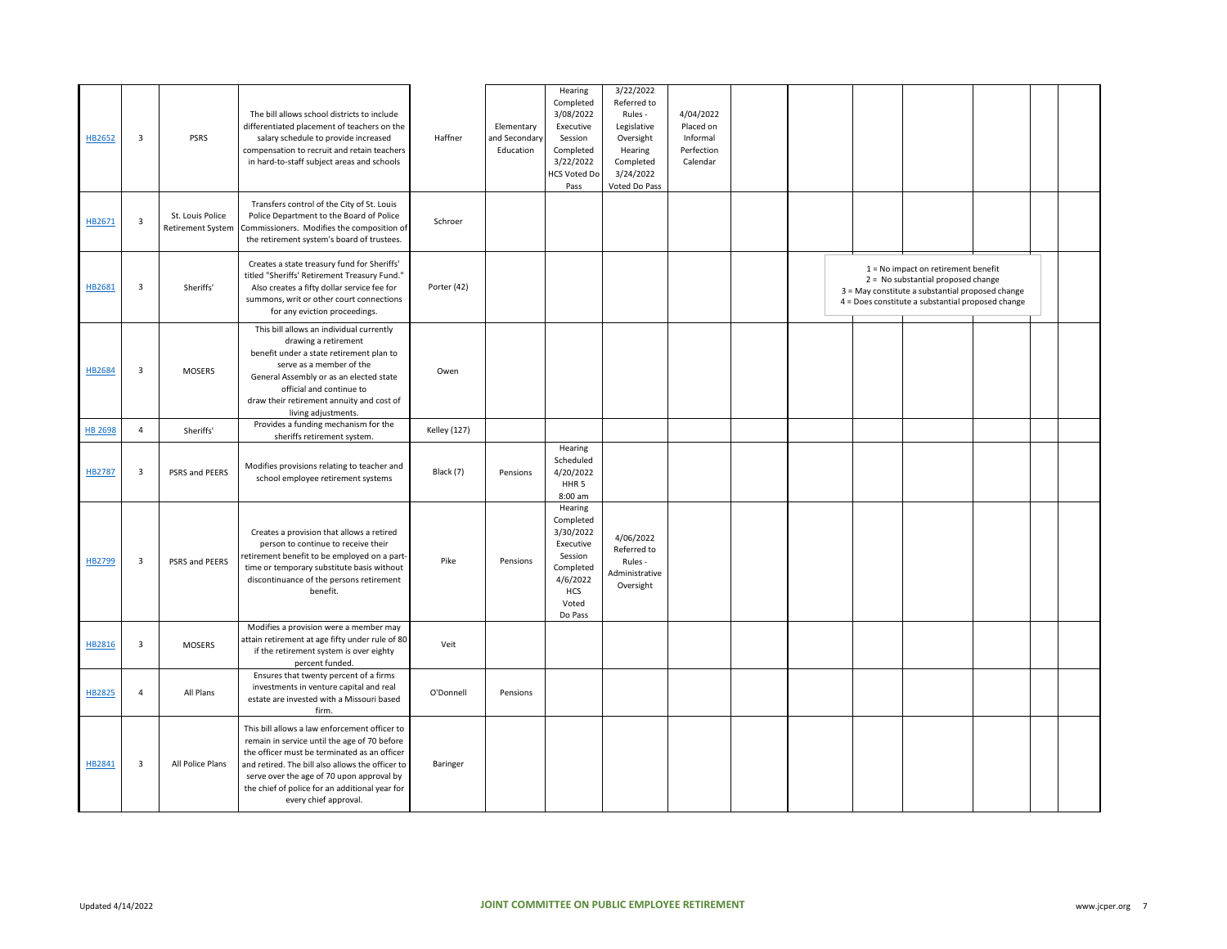| HB2652         | $\overline{\mathbf{3}}$ | PSRS                                         | The bill allows school districts to include<br>differentiated placement of teachers on the<br>salary schedule to provide increased<br>compensation to recruit and retain teachers<br>in hard-to-staff subject areas and schools                                                                                           | Haffner             | Elementary<br>ind Secondary<br>Education | Hearing<br>Completed<br>3/08/2022<br>Executive<br>Session<br>Completed<br>3/22/2022<br><b>HCS Voted Do</b><br>Pass   | 3/22/2022<br>Referred to<br>Rules -<br>Legislative<br>Oversight<br>Hearing<br>Completed<br>3/24/2022<br>Voted Do Pass | 4/04/2022<br>Placed on<br>Informal<br>Perfection<br>Calendar |  |                                                                                                                                                                                      |  |  |
|----------------|-------------------------|----------------------------------------------|---------------------------------------------------------------------------------------------------------------------------------------------------------------------------------------------------------------------------------------------------------------------------------------------------------------------------|---------------------|------------------------------------------|----------------------------------------------------------------------------------------------------------------------|-----------------------------------------------------------------------------------------------------------------------|--------------------------------------------------------------|--|--------------------------------------------------------------------------------------------------------------------------------------------------------------------------------------|--|--|
| HB2671         | 3                       | St. Louis Police<br><b>Retirement System</b> | Transfers control of the City of St. Louis<br>Police Department to the Board of Police<br>Commissioners. Modifies the composition of<br>the retirement system's board of trustees.                                                                                                                                        | Schroer             |                                          |                                                                                                                      |                                                                                                                       |                                                              |  |                                                                                                                                                                                      |  |  |
| HB2681         | $\overline{\mathbf{3}}$ | Sheriffs'                                    | Creates a state treasury fund for Sheriffs'<br>titled "Sheriffs' Retirement Treasury Fund."<br>Also creates a fifty dollar service fee for<br>summons, writ or other court connections<br>for any eviction proceedings.                                                                                                   | Porter (42)         |                                          |                                                                                                                      |                                                                                                                       |                                                              |  | $1 = No$ impact on retirement benefit<br>2 = No substantial proposed change<br>3 = May constitute a substantial proposed change<br>4 = Does constitute a substantial proposed change |  |  |
| HB2684         | $\overline{\mathbf{3}}$ | <b>MOSERS</b>                                | This bill allows an individual currently<br>drawing a retirement<br>benefit under a state retirement plan to<br>serve as a member of the<br>General Assembly or as an elected state<br>official and continue to<br>draw their retirement annuity and cost of<br>living adjustments.                                       | Owen                |                                          |                                                                                                                      |                                                                                                                       |                                                              |  |                                                                                                                                                                                      |  |  |
| <b>HB 2698</b> | $\overline{4}$          | Sheriffs'                                    | Provides a funding mechanism for the<br>sheriffs retirement system.                                                                                                                                                                                                                                                       | <b>Kelley (127)</b> |                                          |                                                                                                                      |                                                                                                                       |                                                              |  |                                                                                                                                                                                      |  |  |
| <b>HB2787</b>  | $\overline{\mathbf{3}}$ | PSRS and PEERS                               | Modifies provisions relating to teacher and<br>school employee retirement systems                                                                                                                                                                                                                                         | Black (7)           | Pensions                                 | Hearing<br>Scheduled<br>4/20/2022<br>HHR <sub>5</sub><br>8:00 am                                                     |                                                                                                                       |                                                              |  |                                                                                                                                                                                      |  |  |
| HB2799         | $\overline{\mathbf{3}}$ | PSRS and PEERS                               | Creates a provision that allows a retired<br>person to continue to receive their<br>retirement benefit to be employed on a part-<br>time or temporary substitute basis without<br>discontinuance of the persons retirement<br>benefit.                                                                                    | Pike                | Pensions                                 | Hearing<br>Completed<br>3/30/2022<br>Executive<br>Session<br>Completed<br>4/6/2022<br><b>HCS</b><br>Voted<br>Do Pass | 4/06/2022<br>Referred to<br>Rules -<br>Administrative<br>Oversight                                                    |                                                              |  |                                                                                                                                                                                      |  |  |
| HB2816         | $\overline{\mathbf{3}}$ | <b>MOSERS</b>                                | Modifies a provision were a member may<br>attain retirement at age fifty under rule of 80<br>if the retirement system is over eighty<br>percent funded.                                                                                                                                                                   | Veit                |                                          |                                                                                                                      |                                                                                                                       |                                                              |  |                                                                                                                                                                                      |  |  |
| HB2825         | $\overline{4}$          | All Plans                                    | Ensures that twenty percent of a firms<br>investments in venture capital and real<br>estate are invested with a Missouri based<br>firm.                                                                                                                                                                                   | O'Donnell           | Pensions                                 |                                                                                                                      |                                                                                                                       |                                                              |  |                                                                                                                                                                                      |  |  |
| HB2841         | $\overline{3}$          | All Police Plans                             | This bill allows a law enforcement officer to<br>remain in service until the age of 70 before<br>the officer must be terminated as an officer<br>and retired. The bill also allows the officer to<br>serve over the age of 70 upon approval by<br>the chief of police for an additional year for<br>every chief approval. | Baringer            |                                          |                                                                                                                      |                                                                                                                       |                                                              |  |                                                                                                                                                                                      |  |  |